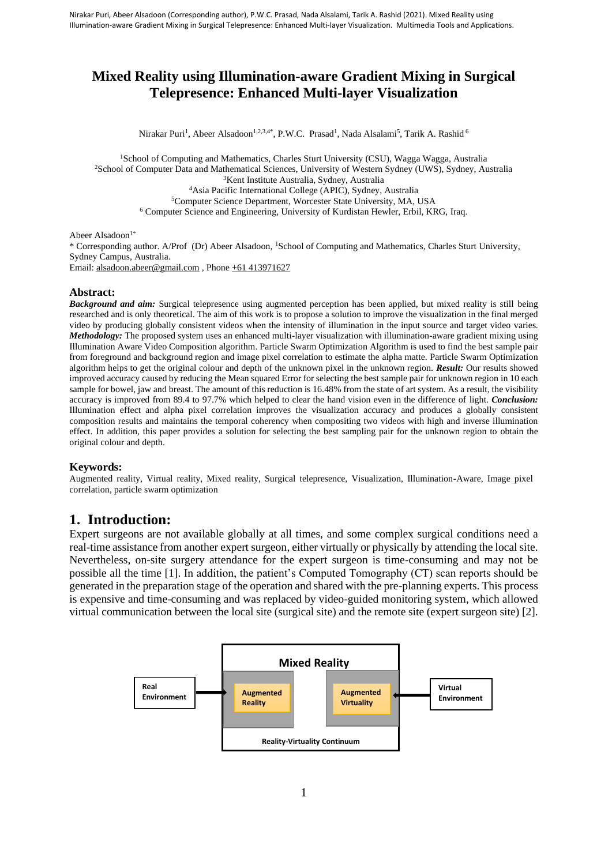# **Mixed Reality using Illumination-aware Gradient Mixing in Surgical Telepresence: Enhanced Multi-layer Visualization**

Nirakar Puri<sup>1</sup>, Abeer Alsadoon<sup>1,2,3,4\*</sup>, P.W.C. Prasad<sup>1</sup>, Nada Alsalami<sup>5</sup>, Tarik A. Rashid <sup>6</sup>

School of Computing and Mathematics, Charles Sturt University (CSU), Wagga Wagga, Australia School of Computer Data and Mathematical Sciences, University of Western Sydney (UWS), Sydney, Australia Kent Institute Australia, Sydney, Australia Asia Pacific International College (APIC), Sydney, Australia Computer Science Department, Worcester State University, MA, USA Computer Science and Engineering, University of Kurdistan Hewler, Erbil, KRG, Iraq.

Abeer Alsadoon<sup>1\*</sup>

\* Corresponding author. A/Prof (Dr) Abeer Alsadoon, <sup>1</sup>School of Computing and Mathematics, Charles Sturt University, Sydney Campus, Australia. Email[: alsadoon.abeer@gmail.com](mailto:cwithana@studygroup.com), Phon[e +61 413971627](tel:+61%202%209291%209387)

#### **Abstract:**

*Background and aim:* Surgical telepresence using augmented perception has been applied, but mixed reality is still being researched and is only theoretical. The aim of this work is to propose a solution to improve the visualization in the final merged video by producing globally consistent videos when the intensity of illumination in the input source and target video varies. *Methodology:* The proposed system uses an enhanced multi-layer visualization with illumination-aware gradient mixing using Illumination Aware Video Composition algorithm. Particle Swarm Optimization Algorithm is used to find the best sample pair from foreground and background region and image pixel correlation to estimate the alpha matte. Particle Swarm Optimization algorithm helps to get the original colour and depth of the unknown pixel in the unknown region. *Result:* Our results showed improved accuracy caused by reducing the Mean squared Error for selecting the best sample pair for unknown region in 10 each sample for bowel, jaw and breast. The amount of this reduction is 16.48% from the state of art system. As a result, the visibility accuracy is improved from 89.4 to 97.7% which helped to clear the hand vision even in the difference of light. *Conclusion:* Illumination effect and alpha pixel correlation improves the visualization accuracy and produces a globally consistent composition results and maintains the temporal coherency when compositing two videos with high and inverse illumination effect. In addition, this paper provides a solution for selecting the best sampling pair for the unknown region to obtain the original colour and depth.

#### **Keywords:**

Augmented reality, Virtual reality, Mixed reality, Surgical telepresence, Visualization, Illumination-Aware, Image pixel correlation, particle swarm optimization

## **1. Introduction:**

Expert surgeons are not available globally at all times, and some complex surgical conditions need a real-time assistance from another expert surgeon, either virtually or physically by attending the local site. Nevertheless, on-site surgery attendance for the expert surgeon is time-consuming and may not be possible all the time [1]. In addition, the patient's Computed Tomography (CT) scan reports should be generated in the preparation stage of the operation and shared with the pre-planning experts. This process is expensive and time-consuming and was replaced by video-guided monitoring system, which allowed virtual communication between the local site (surgical site) and the remote site (expert surgeon site) [2].

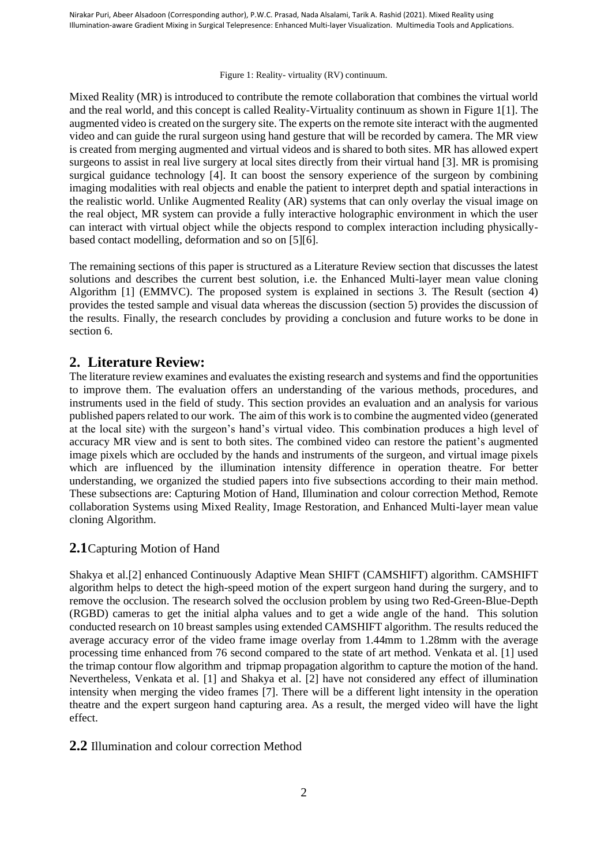#### Figure 1: Reality- virtuality (RV) continuum.

Mixed Reality (MR) is introduced to contribute the remote collaboration that combines the virtual world and the real world, and this concept is called Reality-Virtuality continuum as shown in Figure 1[1]. The augmented video is created on the surgery site. The experts on the remote site interact with the augmented video and can guide the rural surgeon using hand gesture that will be recorded by camera. The MR view is created from merging augmented and virtual videos and is shared to both sites. MR has allowed expert surgeons to assist in real live surgery at local sites directly from their virtual hand [3]. MR is promising surgical guidance technology [4]. It can boost the sensory experience of the surgeon by combining imaging modalities with real objects and enable the patient to interpret depth and spatial interactions in the realistic world. Unlike Augmented Reality (AR) systems that can only overlay the visual image on the real object, MR system can provide a fully interactive holographic environment in which the user can interact with virtual object while the objects respond to complex interaction including physicallybased contact modelling, deformation and so on [5][6].

The remaining sections of this paper is structured as a Literature Review section that discusses the latest solutions and describes the current best solution, i.e. the Enhanced Multi-layer mean value cloning Algorithm [1] (EMMVC). The proposed system is explained in sections 3. The Result (section 4) provides the tested sample and visual data whereas the discussion (section 5) provides the discussion of the results. Finally, the research concludes by providing a conclusion and future works to be done in section 6.

# **2. Literature Review:**

The literature review examines and evaluates the existing research and systems and find the opportunities to improve them. The evaluation offers an understanding of the various methods, procedures, and instruments used in the field of study. This section provides an evaluation and an analysis for various published papers related to our work. The aim of this work is to combine the augmented video (generated at the local site) with the surgeon's hand's virtual video. This combination produces a high level of accuracy MR view and is sent to both sites. The combined video can restore the patient's augmented image pixels which are occluded by the hands and instruments of the surgeon, and virtual image pixels which are influenced by the illumination intensity difference in operation theatre. For better understanding, we organized the studied papers into five subsections according to their main method. These subsections are: Capturing Motion of Hand, Illumination and colour correction Method, Remote collaboration Systems using Mixed Reality, Image Restoration, and Enhanced Multi-layer mean value cloning Algorithm.

# **2.1**Capturing Motion of Hand

Shakya et al.[2] enhanced Continuously Adaptive Mean SHIFT (CAMSHIFT) algorithm. CAMSHIFT algorithm helps to detect the high-speed motion of the expert surgeon hand during the surgery, and to remove the occlusion. The research solved the occlusion problem by using two Red-Green-Blue-Depth (RGBD) cameras to get the initial alpha values and to get a wide angle of the hand. This solution conducted research on 10 breast samples using extended CAMSHIFT algorithm. The results reduced the average accuracy error of the video frame image overlay from 1.44mm to 1.28mm with the average processing time enhanced from 76 second compared to the state of art method. Venkata et al. [1] used the trimap contour flow algorithm and tripmap propagation algorithm to capture the motion of the hand. Nevertheless, Venkata et al. [1] and Shakya et al. [2] have not considered any effect of illumination intensity when merging the video frames [7]. There will be a different light intensity in the operation theatre and the expert surgeon hand capturing area. As a result, the merged video will have the light effect.

## **2.2** Illumination and colour correction Method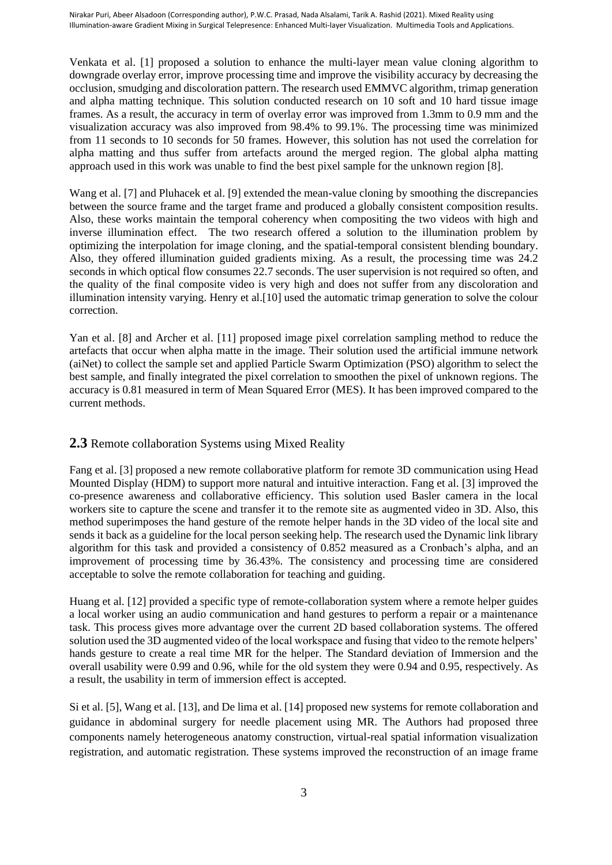Venkata et al. [1] proposed a solution to enhance the multi-layer mean value cloning algorithm to downgrade overlay error, improve processing time and improve the visibility accuracy by decreasing the occlusion, smudging and discoloration pattern. The research used EMMVC algorithm, trimap generation and alpha matting technique. This solution conducted research on 10 soft and 10 hard tissue image frames. As a result, the accuracy in term of overlay error was improved from 1.3mm to 0.9 mm and the visualization accuracy was also improved from 98.4% to 99.1%. The processing time was minimized from 11 seconds to 10 seconds for 50 frames. However, this solution has not used the correlation for alpha matting and thus suffer from artefacts around the merged region. The global alpha matting approach used in this work was unable to find the best pixel sample for the unknown region [8].

Wang et al. [7] and Pluhacek et al. [9] extended the mean-value cloning by smoothing the discrepancies between the source frame and the target frame and produced a globally consistent composition results. Also, these works maintain the temporal coherency when compositing the two videos with high and inverse illumination effect. The two research offered a solution to the illumination problem by optimizing the interpolation for image cloning, and the spatial-temporal consistent blending boundary. Also, they offered illumination guided gradients mixing. As a result, the processing time was 24.2 seconds in which optical flow consumes 22.7 seconds. The user supervision is not required so often, and the quality of the final composite video is very high and does not suffer from any discoloration and illumination intensity varying. Henry et al.[10] used the automatic trimap generation to solve the colour correction.

Yan et al. [8] and Archer et al. [11] proposed image pixel correlation sampling method to reduce the artefacts that occur when alpha matte in the image. Their solution used the artificial immune network (aiNet) to collect the sample set and applied Particle Swarm Optimization (PSO) algorithm to select the best sample, and finally integrated the pixel correlation to smoothen the pixel of unknown regions. The accuracy is 0.81 measured in term of Mean Squared Error (MES). It has been improved compared to the current methods.

# **2.3** Remote collaboration Systems using Mixed Reality

Fang et al. [3] proposed a new remote collaborative platform for remote 3D communication using Head Mounted Display (HDM) to support more natural and intuitive interaction. Fang et al. [3] improved the co-presence awareness and collaborative efficiency. This solution used Basler camera in the local workers site to capture the scene and transfer it to the remote site as augmented video in 3D. Also, this method superimposes the hand gesture of the remote helper hands in the 3D video of the local site and sends it back as a guideline for the local person seeking help. The research used the Dynamic link library algorithm for this task and provided a consistency of 0.852 measured as a Cronbach's alpha, and an improvement of processing time by 36.43%. The consistency and processing time are considered acceptable to solve the remote collaboration for teaching and guiding.

Huang et al. [12] provided a specific type of remote-collaboration system where a remote helper guides a local worker using an audio communication and hand gestures to perform a repair or a maintenance task. This process gives more advantage over the current 2D based collaboration systems. The offered solution used the 3D augmented video of the local workspace and fusing that video to the remote helpers' hands gesture to create a real time MR for the helper. The Standard deviation of Immersion and the overall usability were 0.99 and 0.96, while for the old system they were 0.94 and 0.95, respectively. As a result, the usability in term of immersion effect is accepted.

Si et al. [5], Wang et al. [13], and De lima et al. [14] proposed new systems for remote collaboration and guidance in abdominal surgery for needle placement using MR. The Authors had proposed three components namely heterogeneous anatomy construction, virtual-real spatial information visualization registration, and automatic registration. These systems improved the reconstruction of an image frame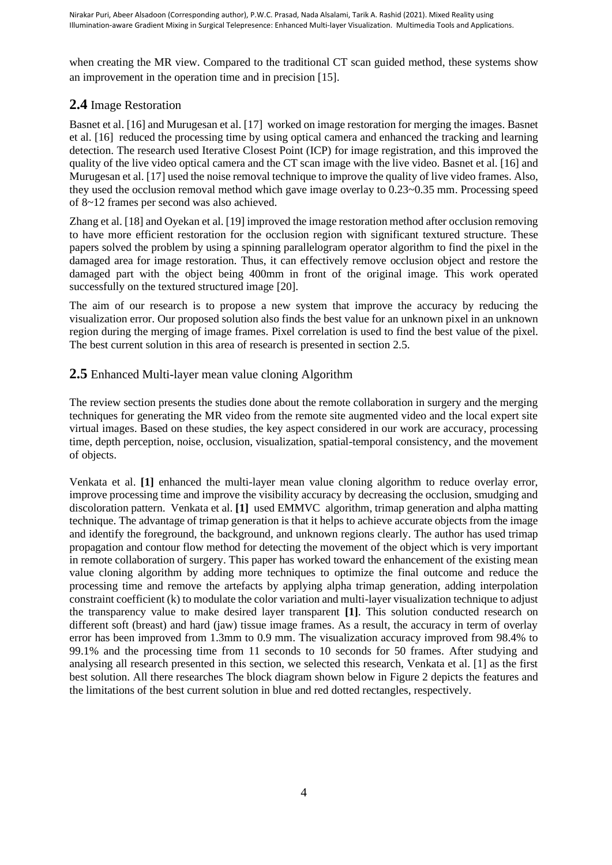when creating the MR view. Compared to the traditional CT scan guided method, these systems show an improvement in the operation time and in precision [15].

# **2.4** Image Restoration

Basnet et al. [16] and Murugesan et al. [17] worked on image restoration for merging the images. Basnet et al. [16] reduced the processing time by using optical camera and enhanced the tracking and learning detection. The research used Iterative Closest Point (ICP) for image registration, and this improved the quality of the live video optical camera and the CT scan image with the live video. Basnet et al. [16] and Murugesan et al. [17] used the noise removal technique to improve the quality of live video frames. Also, they used the occlusion removal method which gave image overlay to 0.23~0.35 mm. Processing speed of 8~12 frames per second was also achieved.

Zhang et al. [18] and Oyekan et al. [19] improved the image restoration method after occlusion removing to have more efficient restoration for the occlusion region with significant textured structure. These papers solved the problem by using a spinning parallelogram operator algorithm to find the pixel in the damaged area for image restoration. Thus, it can effectively remove occlusion object and restore the damaged part with the object being 400mm in front of the original image. This work operated successfully on the textured structured image [20].

The aim of our research is to propose a new system that improve the accuracy by reducing the visualization error. Our proposed solution also finds the best value for an unknown pixel in an unknown region during the merging of image frames. Pixel correlation is used to find the best value of the pixel. The best current solution in this area of research is presented in section 2.5.

# **2.5** Enhanced Multi-layer mean value cloning Algorithm

The review section presents the studies done about the remote collaboration in surgery and the merging techniques for generating the MR video from the remote site augmented video and the local expert site virtual images. Based on these studies, the key aspect considered in our work are accuracy, processing time, depth perception, noise, occlusion, visualization, spatial-temporal consistency, and the movement of objects.

Venkata et al. **[1]** enhanced the multi-layer mean value cloning algorithm to reduce overlay error, improve processing time and improve the visibility accuracy by decreasing the occlusion, smudging and discoloration pattern. Venkata et al. **[1]** used EMMVC algorithm, trimap generation and alpha matting technique. The advantage of trimap generation is that it helps to achieve accurate objects from the image and identify the foreground, the background, and unknown regions clearly. The author has used trimap propagation and contour flow method for detecting the movement of the object which is very important in remote collaboration of surgery. This paper has worked toward the enhancement of the existing mean value cloning algorithm by adding more techniques to optimize the final outcome and reduce the processing time and remove the artefacts by applying alpha trimap generation, adding interpolation constraint coefficient (k) to modulate the color variation and multi-layer visualization technique to adjust the transparency value to make desired layer transparent **[1]**. This solution conducted research on different soft (breast) and hard (jaw) tissue image frames. As a result, the accuracy in term of overlay error has been improved from 1.3mm to 0.9 mm. The visualization accuracy improved from 98.4% to 99.1% and the processing time from 11 seconds to 10 seconds for 50 frames. After studying and analysing all research presented in this section, we selected this research, Venkata et al. [1] as the first best solution. All there researches The block diagram shown below in Figure 2 depicts the features and the limitations of the best current solution in blue and red dotted rectangles, respectively.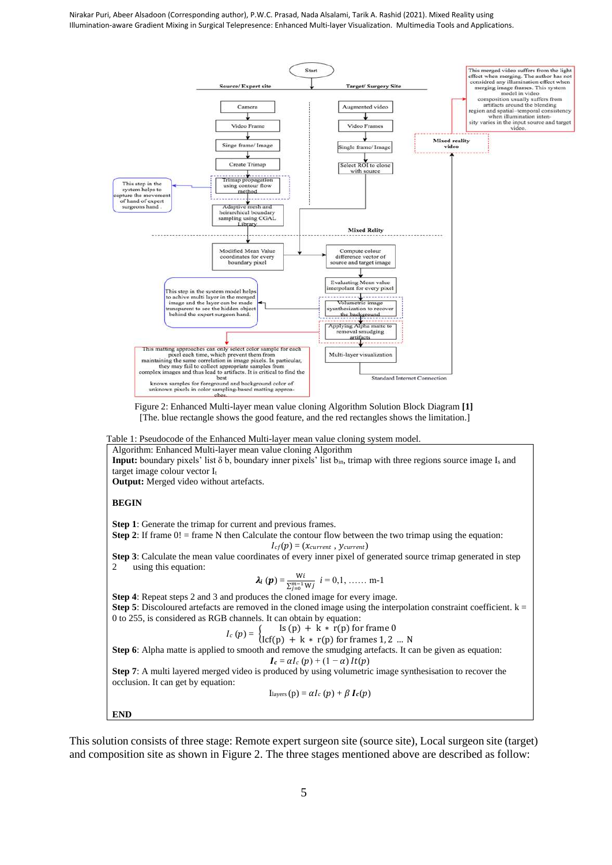

Figure 2: Enhanced Multi-layer mean value cloning Algorithm Solution Block Diagram **[1]** [The. blue rectangle shows the good feature, and the red rectangles shows the limitation.]

Table 1: Pseudocode of the Enhanced Multi-layer mean value cloning system model.

Algorithm: Enhanced Multi-layer mean value cloning Algorithm **Input:** boundary pixels' list δ b, boundary inner pixels' list bin, trimap with three regions source image I<sup>s</sup> and target image colour vector It

**Output:** Merged video without artefacts.

#### **BEGIN**

**Step 1**: Generate the trimap for current and previous frames.

**Step 2:** If frame  $0!$  = frame N then Calculate the contour flow between the two trimap using the equation:

 $I_{cf}(p) = (x_{current}, y_{current})$ 

**Step 3**: Calculate the mean value coordinates of every inner pixel of generated source trimap generated in step 2 using this equation:

$$
\lambda_i(p) = \frac{Wi}{\sum_{j=0}^{m-1} W_j} \ \ i = 0, 1, \ \ldots \ \ m-1
$$

**Step 4**: Repeat steps 2 and 3 and produces the cloned image for every image. **Step 5**: Discoloured artefacts are removed in the cloned image using the interpolation constraint coefficient.  $k =$ 0 to 255, is considered as RGB channels. It can obtain by equation:

$$
I_c(p) = \begin{cases} \text{Is (p)} + k * r(p) \text{ for frame 0} \\ \text{Is (p)} + k * r(p) \text{ for frame 1, 2} \end{cases}
$$

$$
e^{(p)} = (\text{lcf}(p) + k * r(p) \text{ for frames } 1, 2 \dots N
$$

**Step 6**: Alpha matte is applied to smooth and remove the smudging artefacts. It can be given as equation:  $I_c = \alpha I_c (p) + (1 - \alpha) I_t(p)$ 

**Step 7:** A multi layered merged video is produced by using volumetric image synthesisation to recover the occlusion. It can get by equation:

$$
Ilayers(p) = \alpha I_c(p) + \beta I_c(p)
$$

**END**

This solution consists of three stage: Remote expert surgeon site (source site), Local surgeon site (target) and composition site as shown in Figure 2. The three stages mentioned above are described as follow: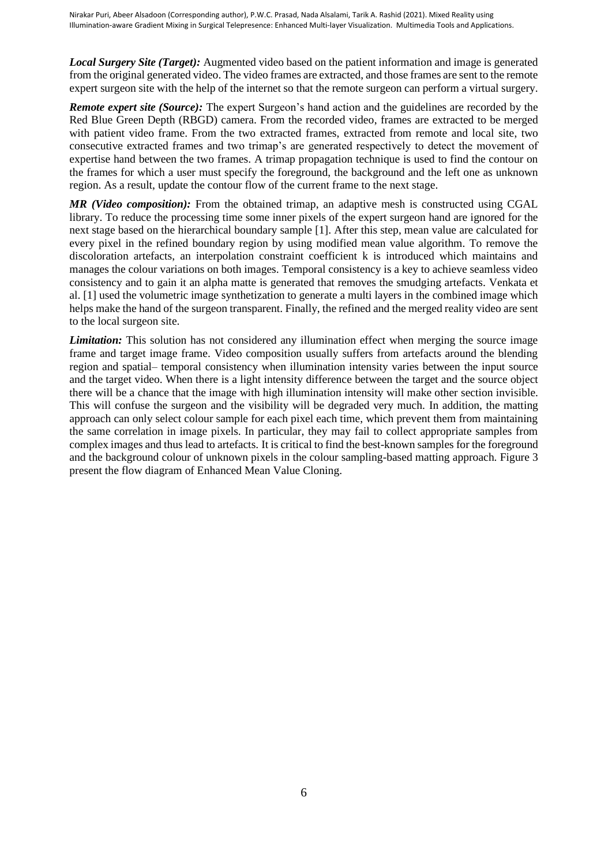*Local Surgery Site (Target):* Augmented video based on the patient information and image is generated from the original generated video. The video frames are extracted, and those frames are sent to the remote expert surgeon site with the help of the internet so that the remote surgeon can perform a virtual surgery.

*Remote expert site (Source):* The expert Surgeon's hand action and the guidelines are recorded by the Red Blue Green Depth (RBGD) camera. From the recorded video, frames are extracted to be merged with patient video frame. From the two extracted frames, extracted from remote and local site, two consecutive extracted frames and two trimap's are generated respectively to detect the movement of expertise hand between the two frames. A trimap propagation technique is used to find the contour on the frames for which a user must specify the foreground, the background and the left one as unknown region. As a result, update the contour flow of the current frame to the next stage.

*MR (Video composition):* From the obtained trimap, an adaptive mesh is constructed using CGAL library. To reduce the processing time some inner pixels of the expert surgeon hand are ignored for the next stage based on the hierarchical boundary sample [1]. After this step, mean value are calculated for every pixel in the refined boundary region by using modified mean value algorithm. To remove the discoloration artefacts, an interpolation constraint coefficient k is introduced which maintains and manages the colour variations on both images. Temporal consistency is a key to achieve seamless video consistency and to gain it an alpha matte is generated that removes the smudging artefacts. Venkata et al. [1] used the volumetric image synthetization to generate a multi layers in the combined image which helps make the hand of the surgeon transparent. Finally, the refined and the merged reality video are sent to the local surgeon site.

*Limitation:* This solution has not considered any illumination effect when merging the source image frame and target image frame. Video composition usually suffers from artefacts around the blending region and spatial– temporal consistency when illumination intensity varies between the input source and the target video. When there is a light intensity difference between the target and the source object there will be a chance that the image with high illumination intensity will make other section invisible. This will confuse the surgeon and the visibility will be degraded very much. In addition, the matting approach can only select colour sample for each pixel each time, which prevent them from maintaining the same correlation in image pixels. In particular, they may fail to collect appropriate samples from complex images and thus lead to artefacts. It is critical to find the best-known samples for the foreground and the background colour of unknown pixels in the colour sampling-based matting approach. Figure 3 present the flow diagram of Enhanced Mean Value Cloning.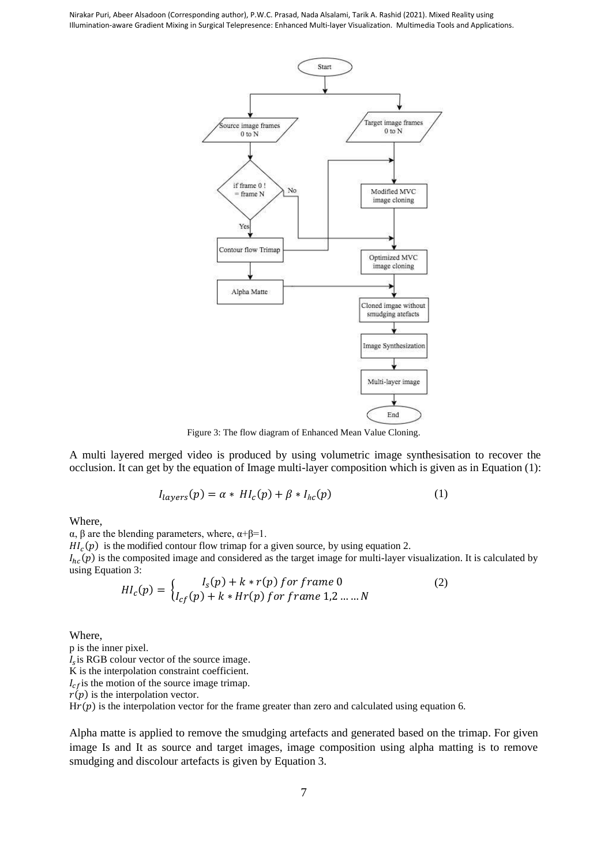

Figure 3: The flow diagram of Enhanced Mean Value Cloning.

A multi layered merged video is produced by using volumetric image synthesisation to recover the occlusion. It can get by the equation of Image multi-layer composition which is given as in Equation (1):

$$
I_{layers}(p) = \alpha * H I_c(p) + \beta * I_{hc}(p)
$$
 (1)

Where,

α, β are the blending parameters, where, α+β=1.

 $HI<sub>c</sub>(p)$  is the modified contour flow trimap for a given source, by using equation 2.

 $I_{hc}(p)$  is the composited image and considered as the target image for multi-layer visualization. It is calculated by using Equation 3:

$$
HI_c(p) = \begin{cases} I_s(p) + k * r(p) \text{ for frame } 0 \\ I_{cf}(p) + k * Hr(p) \text{ for frame } 1, 2 \dots M \end{cases} \tag{2}
$$

Where,

p is the inner pixel.  $I_s$  is RGB colour vector of the source image. K is the interpolation constraint coefficient.  $I_{cf}$  is the motion of the source image trimap.  $r(p)$  is the interpolation vector.  $H(r(p))$  is the interpolation vector for the frame greater than zero and calculated using equation 6.

Alpha matte is applied to remove the smudging artefacts and generated based on the trimap. For given image Is and It as source and target images, image composition using alpha matting is to remove smudging and discolour artefacts is given by Equation 3.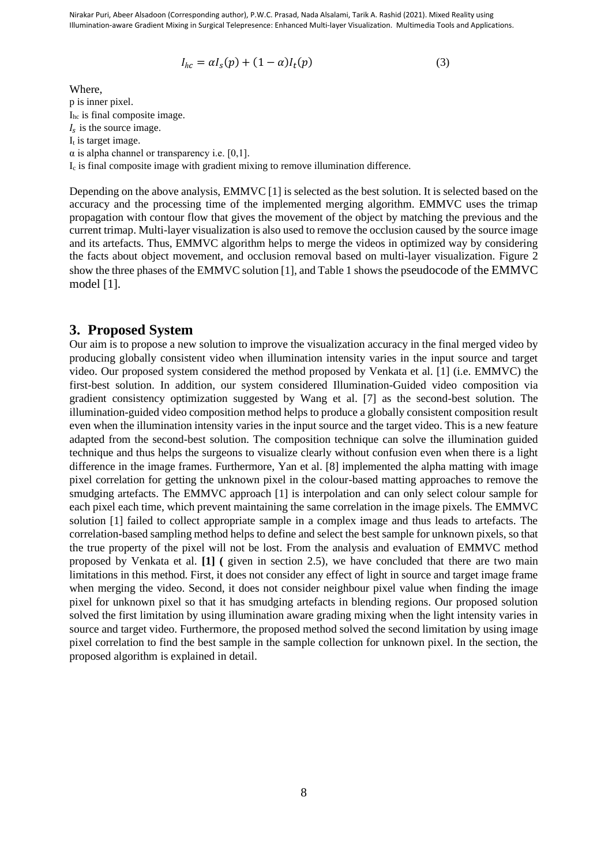$$
I_{hc} = \alpha I_s(p) + (1 - \alpha)I_t(p) \tag{3}
$$

Where, p is inner pixel. Ihc is final composite image.  $I_s$  is the source image.  $I_t$  is target image.  $\alpha$  is alpha channel or transparency i.e. [0,1]. I<sup>c</sup> is final composite image with gradient mixing to remove illumination difference.

Depending on the above analysis, EMMVC [1] is selected as the best solution. It is selected based on the accuracy and the processing time of the implemented merging algorithm. EMMVC uses the trimap propagation with contour flow that gives the movement of the object by matching the previous and the current trimap. Multi-layer visualization is also used to remove the occlusion caused by the source image and its artefacts. Thus, EMMVC algorithm helps to merge the videos in optimized way by considering the facts about object movement, and occlusion removal based on multi-layer visualization. Figure 2 show the three phases of the EMMVC solution [1], and Table 1 shows the pseudocode of the EMMVC model [1].

### **3. Proposed System**

Our aim is to propose a new solution to improve the visualization accuracy in the final merged video by producing globally consistent video when illumination intensity varies in the input source and target video. Our proposed system considered the method proposed by Venkata et al. [1] (i.e. EMMVC) the first-best solution. In addition, our system considered Illumination-Guided video composition via gradient consistency optimization suggested by Wang et al. [7] as the second-best solution. The illumination-guided video composition method helps to produce a globally consistent composition result even when the illumination intensity varies in the input source and the target video. This is a new feature adapted from the second-best solution. The composition technique can solve the illumination guided technique and thus helps the surgeons to visualize clearly without confusion even when there is a light difference in the image frames. Furthermore, Yan et al. [8] implemented the alpha matting with image pixel correlation for getting the unknown pixel in the colour-based matting approaches to remove the smudging artefacts. The EMMVC approach [1] is interpolation and can only select colour sample for each pixel each time, which prevent maintaining the same correlation in the image pixels. The EMMVC solution [1] failed to collect appropriate sample in a complex image and thus leads to artefacts. The correlation-based sampling method helps to define and select the best sample for unknown pixels, so that the true property of the pixel will not be lost. From the analysis and evaluation of EMMVC method proposed by Venkata et al. **[1] (** given in section 2.5), we have concluded that there are two main limitations in this method. First, it does not consider any effect of light in source and target image frame when merging the video. Second, it does not consider neighbour pixel value when finding the image pixel for unknown pixel so that it has smudging artefacts in blending regions. Our proposed solution solved the first limitation by using illumination aware grading mixing when the light intensity varies in source and target video. Furthermore, the proposed method solved the second limitation by using image pixel correlation to find the best sample in the sample collection for unknown pixel. In the section, the proposed algorithm is explained in detail.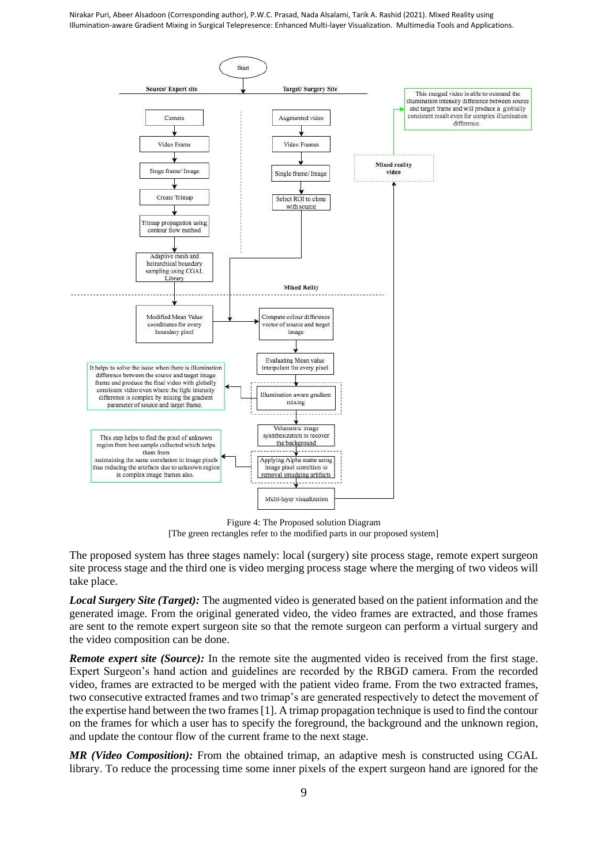

Figure 4: The Proposed solution Diagram [The green rectangles refer to the modified parts in our proposed system]

The proposed system has three stages namely: local (surgery) site process stage, remote expert surgeon site process stage and the third one is video merging process stage where the merging of two videos will take place.

*Local Surgery Site (Target):* The augmented video is generated based on the patient information and the generated image. From the original generated video, the video frames are extracted, and those frames are sent to the remote expert surgeon site so that the remote surgeon can perform a virtual surgery and the video composition can be done.

*Remote expert site (Source):* In the remote site the augmented video is received from the first stage. Expert Surgeon's hand action and guidelines are recorded by the RBGD camera. From the recorded video, frames are extracted to be merged with the patient video frame. From the two extracted frames, two consecutive extracted frames and two trimap's are generated respectively to detect the movement of the expertise hand between the two frames [1]. A trimap propagation technique is used to find the contour on the frames for which a user has to specify the foreground, the background and the unknown region, and update the contour flow of the current frame to the next stage.

*MR (Video Composition):* From the obtained trimap, an adaptive mesh is constructed using CGAL library. To reduce the processing time some inner pixels of the expert surgeon hand are ignored for the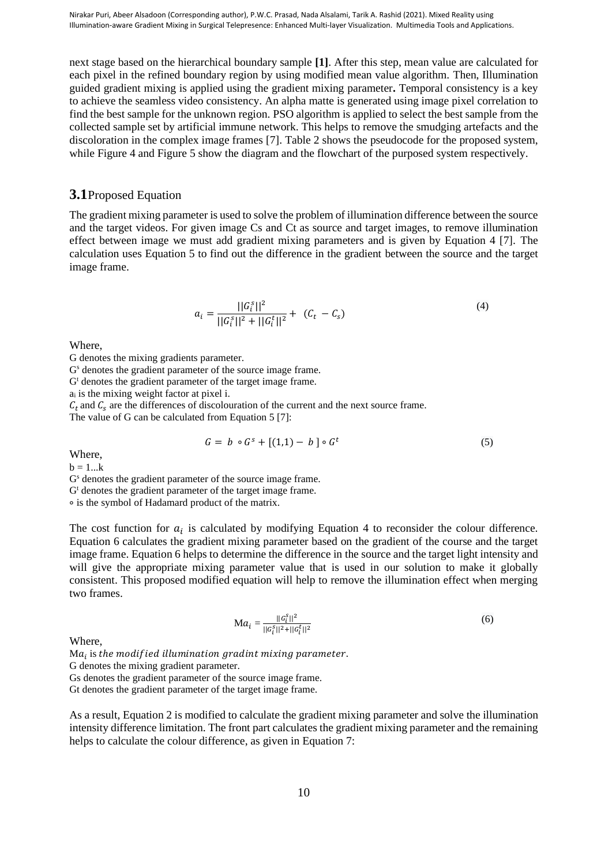next stage based on the hierarchical boundary sample **[1]**. After this step, mean value are calculated for each pixel in the refined boundary region by using modified mean value algorithm. Then, Illumination guided gradient mixing is applied using the gradient mixing parameter**.** Temporal consistency is a key to achieve the seamless video consistency. An alpha matte is generated using image pixel correlation to find the best sample for the unknown region. PSO algorithm is applied to select the best sample from the collected sample set by artificial immune network. This helps to remove the smudging artefacts and the discoloration in the complex image frames [7]. Table 2 shows the pseudocode for the proposed system, while Figure 4 and Figure 5 show the diagram and the flowchart of the purposed system respectively.

#### **3.1**Proposed Equation

The gradient mixing parameter is used to solve the problem of illumination difference between the source and the target videos. For given image Cs and Ct as source and target images, to remove illumination effect between image we must add gradient mixing parameters and is given by Equation 4 [7]. The calculation uses Equation 5 to find out the difference in the gradient between the source and the target image frame.

$$
a_i = \frac{||G_i^s||^2}{||G_i^s||^2 + ||G_i^t||^2} + (C_t - C_s)
$$
\n(4)

Where,

G denotes the mixing gradients parameter.

G<sup>s</sup> denotes the gradient parameter of the source image frame.

 $G<sup>t</sup>$  denotes the gradient parameter of the target image frame.

 $a_i$  is the mixing weight factor at pixel i.

 $C_t$  and  $C_s$  are the differences of discolouration of the current and the next source frame.

The value of G can be calculated from Equation 5 [7]:

$$
G = b \circ G^s + [(1,1) - b] \circ G^t \tag{5}
$$

Where,

 $b = 1...k$ 

G<sup>s</sup> denotes the gradient parameter of the source image frame.

 $G<sup>t</sup>$  denotes the gradient parameter of the target image frame.

∘ is the symbol of Hadamard product of the matrix.

The cost function for  $a_i$  is calculated by modifying Equation 4 to reconsider the colour difference. Equation 6 calculates the gradient mixing parameter based on the gradient of the course and the target image frame. Equation 6 helps to determine the difference in the source and the target light intensity and will give the appropriate mixing parameter value that is used in our solution to make it globally consistent. This proposed modified equation will help to remove the illumination effect when merging two frames.

$$
\mathbf{M}a_i = \frac{||c_i^s||^2}{||c_i^s||^2 + ||c_i^t||^2}
$$
 (6)

Where,

Ma $_{i}$  is the modified illumination gradint mixing parameter.

G denotes the mixing gradient parameter.

Gs denotes the gradient parameter of the source image frame.

Gt denotes the gradient parameter of the target image frame.

As a result, Equation 2 is modified to calculate the gradient mixing parameter and solve the illumination intensity difference limitation. The front part calculates the gradient mixing parameter and the remaining helps to calculate the colour difference, as given in Equation 7: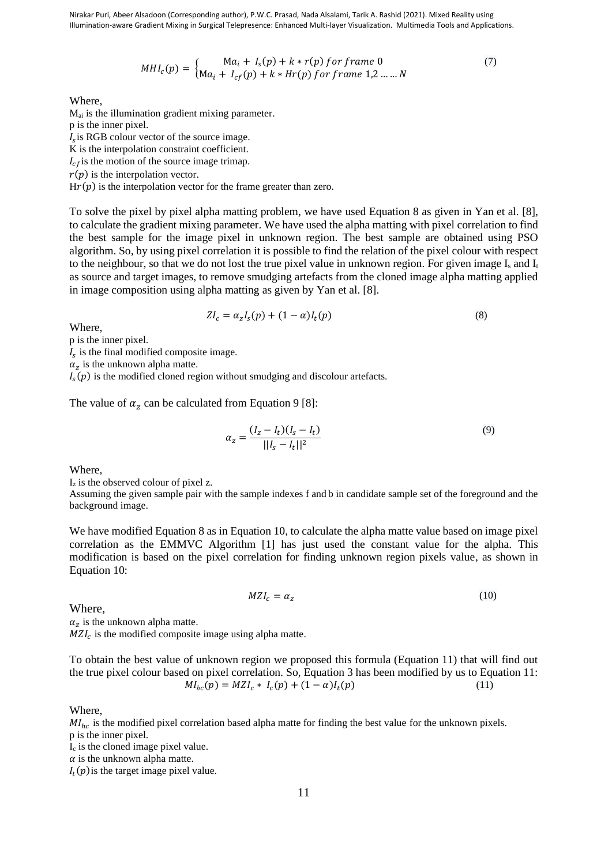$$
MHI_c(p) = \begin{cases} Ma_i + I_s(p) + k * r(p) \text{ for frame } 0\\ Ma_i + I_{cf}(p) + k * Hr(p) \text{ for frame } 1, 2, ..., N \end{cases}
$$
(7)

Where,

Mai is the illumination gradient mixing parameter. p is the inner pixel.  $I_s$  is RGB colour vector of the source image. K is the interpolation constraint coefficient.  $I_{cf}$  is the motion of the source image trimap.  $r(p)$  is the interpolation vector.

 $H(r(p))$  is the interpolation vector for the frame greater than zero.

To solve the pixel by pixel alpha matting problem, we have used Equation 8 as given in Yan et al. [8], to calculate the gradient mixing parameter. We have used the alpha matting with pixel correlation to find the best sample for the image pixel in unknown region. The best sample are obtained using PSO algorithm. So, by using pixel correlation it is possible to find the relation of the pixel colour with respect to the neighbour, so that we do not lost the true pixel value in unknown region. For given image  $I_s$  and  $I_t$ as source and target images, to remove smudging artefacts from the cloned image alpha matting applied in image composition using alpha matting as given by Yan et al. [8].

$$
ZI_c = \alpha_z I_s(p) + (1 - \alpha)I_t(p)
$$
\n(8)

Where,

p is the inner pixel.

 $I_s$  is the final modified composite image.

 $\alpha_z$  is the unknown alpha matte.

 $I_s(p)$  is the modified cloned region without smudging and discolour artefacts.

The value of  $\alpha_z$  can be calculated from Equation 9 [8]:

$$
\alpha_z = \frac{(I_z - I_t)(I_s - I_t)}{||I_s - I_t||^2} \tag{9}
$$

Where,

 $I_z$  is the observed colour of pixel z.

Assuming the given sample pair with the sample indexes f and b in candidate sample set of the foreground and the background image.

We have modified Equation 8 as in Equation 10, to calculate the alpha matte value based on image pixel correlation as the EMMVC Algorithm [1] has just used the constant value for the alpha. This modification is based on the pixel correlation for finding unknown region pixels value, as shown in Equation 10:

$$
MZI_c = \alpha_z \tag{10}
$$

Where,

 $\alpha_z$  is the unknown alpha matte.

 $MZI_c$  is the modified composite image using alpha matte.

To obtain the best value of unknown region we proposed this formula (Equation 11) that will find out the true pixel colour based on pixel correlation. So, Equation 3 has been modified by us to Equation 11:  $MI_{hc}(p) = MZI_c * I_c(p) + (1 - \alpha)I_t$  $(p)$  (11)

Where,

 $MI_{hc}$  is the modified pixel correlation based alpha matte for finding the best value for the unknown pixels. p is the inner pixel.

 $I_c$  is the cloned image pixel value.

 $\alpha$  is the unknown alpha matte.

 $I_t(p)$  is the target image pixel value.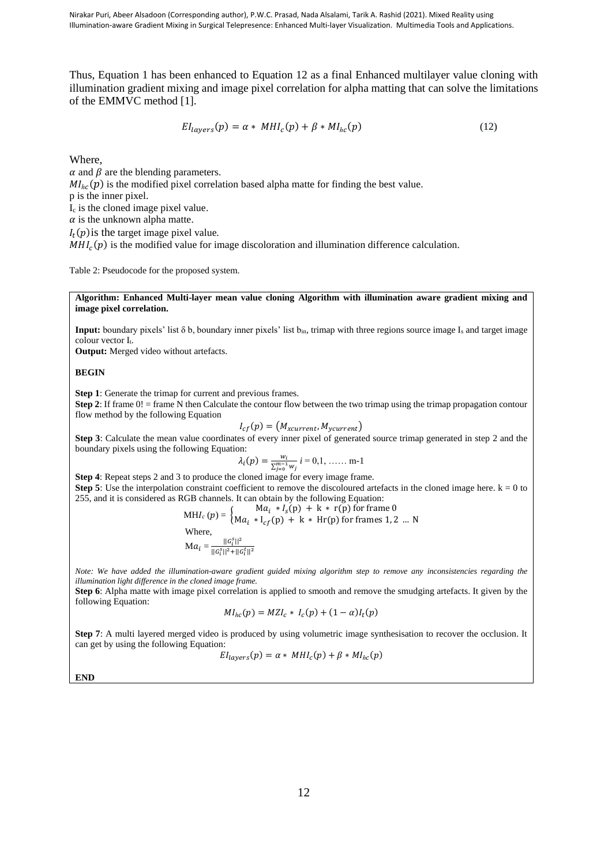Thus, Equation 1 has been enhanced to Equation 12 as a final Enhanced multilayer value cloning with illumination gradient mixing and image pixel correlation for alpha matting that can solve the limitations of the EMMVC method [1].

$$
EI_{layers}(p) = \alpha * MHI_c(p) + \beta * MI_{hc}(p)
$$
\n(12)

Where,

 $\alpha$  and  $\beta$  are the blending parameters.  $MI_{hc}(p)$  is the modified pixel correlation based alpha matte for finding the best value. p is the inner pixel. I<sup>c</sup> is the cloned image pixel value.  $\alpha$  is the unknown alpha matte.  $I_t(p)$  is the target image pixel value.

 $MHI_c(p)$  is the modified value for image discoloration and illumination difference calculation.

Table 2: Pseudocode for the proposed system.

**Algorithm: Enhanced Multi-layer mean value cloning Algorithm with illumination aware gradient mixing and image pixel correlation.**

**Input:** boundary pixels' list δ b, boundary inner pixels' list bin, trimap with three regions source image I<sup>s</sup> and target image colour vector I<sub>t</sub>.

**Output:** Merged video without artefacts.

#### **BEGIN**

**Step 1**: Generate the trimap for current and previous frames.

**Step 2**: If frame  $0!$  = frame N then Calculate the contour flow between the two trimap using the trimap propagation contour flow method by the following Equation

$$
I_{cf}(p) = (M_{xcurrent}, M_{ycurrent})
$$

**Step 3**: Calculate the mean value coordinates of every inner pixel of generated source trimap generated in step 2 and the boundary pixels using the following Equation:

$$
\lambda_i(p) = \frac{w_i}{\sum_{j=0}^{m-1} w_j} \, i = 0, 1, \, \dots \, \text{m-1}
$$

**Step 4**: Repeat steps 2 and 3 to produce the cloned image for every image frame. **Step 5**: Use the interpolation constraint coefficient to remove the discoloured artefacts in the cloned image here.  $k = 0$  to 255, and it is considered as RGB channels. It can obtain by the following Equation:

$$
MHI_c(p) = \begin{cases} Ma_i * I_s(p) + k * r(p) \text{ for frame } 0\\ Ma_i * I_{cf}(p) + k * Hr(p) \text{ for frames } 1, 2 \dots N \end{cases}
$$

Where,

$$
\mathbf{M}a_i = \frac{||G_i^s||^2}{||G_i^s||^2 + ||G_i^t||^2}
$$

*Note: We have added the illumination-aware gradient guided mixing algorithm step to remove any inconsistencies regarding the illumination light difference in the cloned image frame.*

**Step 6**: Alpha matte with image pixel correlation is applied to smooth and remove the smudging artefacts. It given by the following Equation:

$$
MI_{hc}(p) = MZI_c * I_c(p) + (1 - \alpha)I_t(p)
$$

**Step 7**: A multi layered merged video is produced by using volumetric image synthesisation to recover the occlusion. It can get by using the following Equation:

$$
EI_{layers}(p) = \alpha * MHI_c(p) + \beta * MI_{hc}(p)
$$

**END**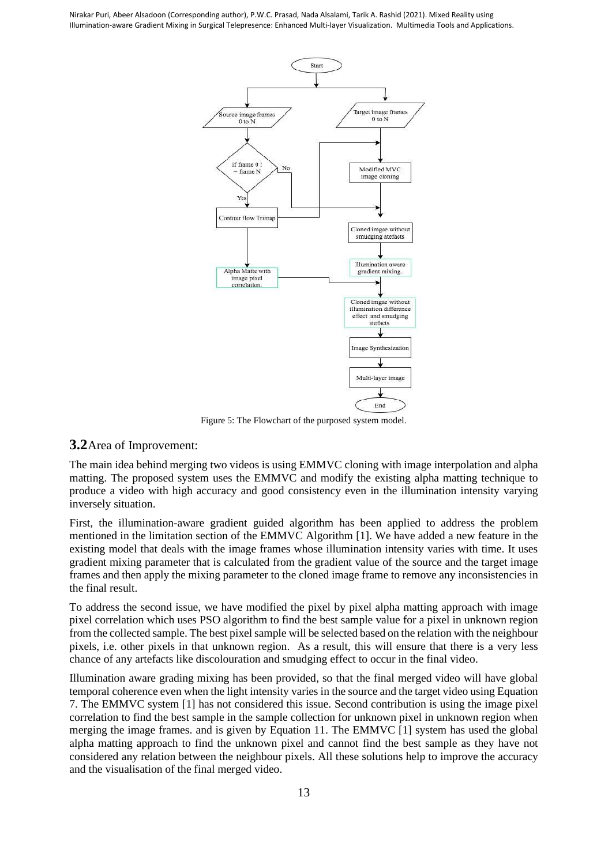

Figure 5: The Flowchart of the purposed system model.

## **3.2**Area of Improvement:

The main idea behind merging two videos is using EMMVC cloning with image interpolation and alpha matting. The proposed system uses the EMMVC and modify the existing alpha matting technique to produce a video with high accuracy and good consistency even in the illumination intensity varying inversely situation.

First, the illumination-aware gradient guided algorithm has been applied to address the problem mentioned in the limitation section of the EMMVC Algorithm [1]. We have added a new feature in the existing model that deals with the image frames whose illumination intensity varies with time. It uses gradient mixing parameter that is calculated from the gradient value of the source and the target image frames and then apply the mixing parameter to the cloned image frame to remove any inconsistencies in the final result.

To address the second issue, we have modified the pixel by pixel alpha matting approach with image pixel correlation which uses PSO algorithm to find the best sample value for a pixel in unknown region from the collected sample. The best pixel sample will be selected based on the relation with the neighbour pixels, i.e. other pixels in that unknown region. As a result, this will ensure that there is a very less chance of any artefacts like discolouration and smudging effect to occur in the final video.

Illumination aware grading mixing has been provided, so that the final merged video will have global temporal coherence even when the light intensity varies in the source and the target video using Equation 7. The EMMVC system [1] has not considered this issue. Second contribution is using the image pixel correlation to find the best sample in the sample collection for unknown pixel in unknown region when merging the image frames. and is given by Equation 11. The EMMVC [1] system has used the global alpha matting approach to find the unknown pixel and cannot find the best sample as they have not considered any relation between the neighbour pixels. All these solutions help to improve the accuracy and the visualisation of the final merged video.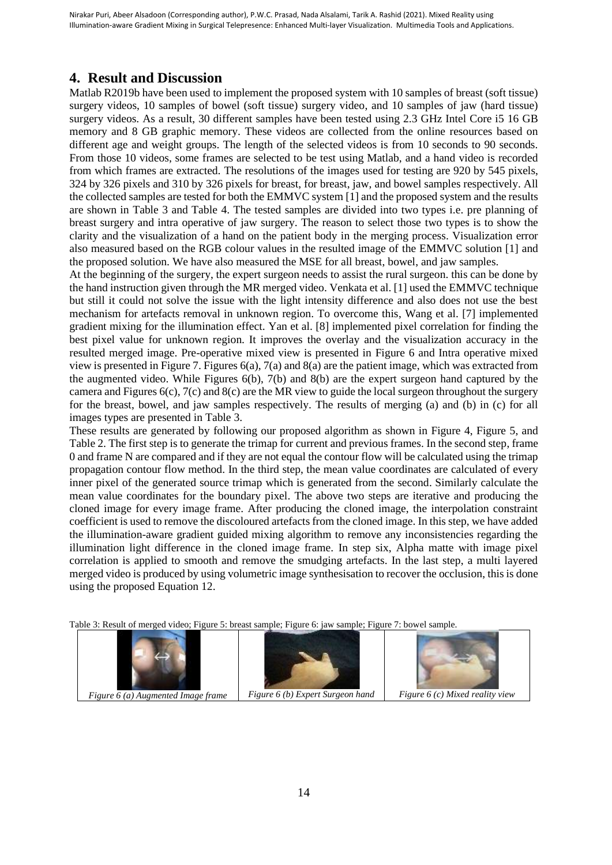# **4. Result and Discussion**

Matlab R2019b have been used to implement the proposed system with 10 samples of breast (soft tissue) surgery videos, 10 samples of bowel (soft tissue) surgery video, and 10 samples of jaw (hard tissue) surgery videos. As a result, 30 different samples have been tested using 2.3 GHz Intel Core i5 16 GB memory and 8 GB graphic memory. These videos are collected from the online resources based on different age and weight groups. The length of the selected videos is from 10 seconds to 90 seconds. From those 10 videos, some frames are selected to be test using Matlab, and a hand video is recorded from which frames are extracted. The resolutions of the images used for testing are 920 by 545 pixels, 324 by 326 pixels and 310 by 326 pixels for breast, for breast, jaw, and bowel samples respectively. All the collected samples are tested for both the EMMVC system [1] and the proposed system and the results are shown in Table 3 and Table 4. The tested samples are divided into two types i.e. pre planning of breast surgery and intra operative of jaw surgery. The reason to select those two types is to show the clarity and the visualization of a hand on the patient body in the merging process. Visualization error also measured based on the RGB colour values in the resulted image of the EMMVC solution [1] and the proposed solution. We have also measured the MSE for all breast, bowel, and jaw samples.

At the beginning of the surgery, the expert surgeon needs to assist the rural surgeon. this can be done by the hand instruction given through the MR merged video. Venkata et al. [1] used the EMMVC technique but still it could not solve the issue with the light intensity difference and also does not use the best mechanism for artefacts removal in unknown region. To overcome this, Wang et al. [7] implemented gradient mixing for the illumination effect. Yan et al. [8] implemented pixel correlation for finding the best pixel value for unknown region. It improves the overlay and the visualization accuracy in the resulted merged image. Pre-operative mixed view is presented in Figure 6 and Intra operative mixed view is presented in Figure 7. Figures 6(a), 7(a) and 8(a) are the patient image, which was extracted from the augmented video. While Figures 6(b), 7(b) and 8(b) are the expert surgeon hand captured by the camera and Figures 6(c), 7(c) and 8(c) are the MR view to guide the local surgeon throughout the surgery for the breast, bowel, and jaw samples respectively. The results of merging (a) and (b) in (c) for all images types are presented in Table 3.

These results are generated by following our proposed algorithm as shown in Figure 4, Figure 5, and Table 2. The first step is to generate the trimap for current and previous frames. In the second step, frame 0 and frame N are compared and if they are not equal the contour flow will be calculated using the trimap propagation contour flow method. In the third step, the mean value coordinates are calculated of every inner pixel of the generated source trimap which is generated from the second. Similarly calculate the mean value coordinates for the boundary pixel. The above two steps are iterative and producing the cloned image for every image frame. After producing the cloned image, the interpolation constraint coefficient is used to remove the discoloured artefacts from the cloned image. In this step, we have added the illumination-aware gradient guided mixing algorithm to remove any inconsistencies regarding the illumination light difference in the cloned image frame. In step six, Alpha matte with image pixel correlation is applied to smooth and remove the smudging artefacts. In the last step, a multi layered merged video is produced by using volumetric image synthesisation to recover the occlusion, this is done using the proposed Equation 12.

Table 3: Result of merged video; Figure 5: breast sample; Figure 6: jaw sample; Figure 7: bowel sample.







*Figure 6 (a) Augmented Image frame Figure 6 (b) Expert Surgeon hand Figure 6 (c) Mixed reality view*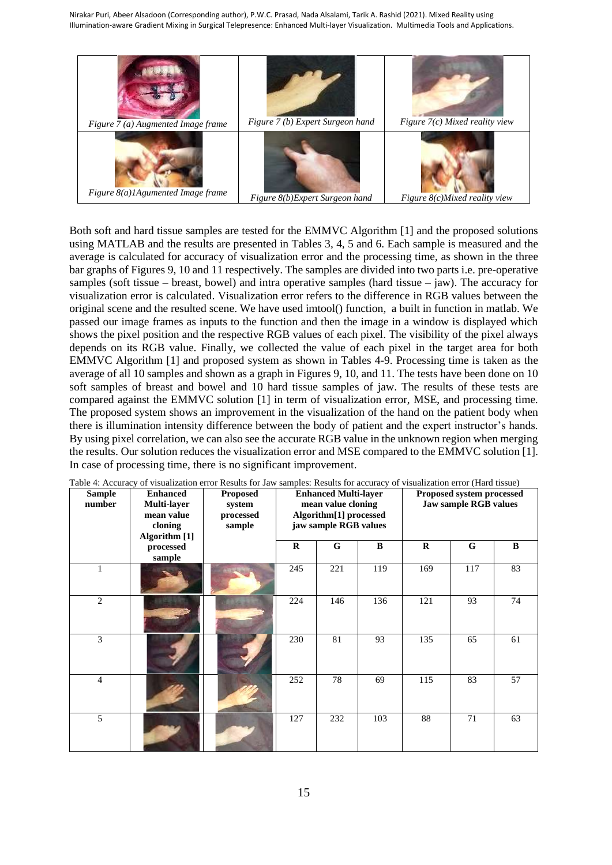

Both soft and hard tissue samples are tested for the EMMVC Algorithm [1] and the proposed solutions using MATLAB and the results are presented in Tables 3, 4, 5 and 6. Each sample is measured and the average is calculated for accuracy of visualization error and the processing time, as shown in the three bar graphs of Figures 9, 10 and 11 respectively. The samples are divided into two parts i.e. pre-operative samples (soft tissue – breast, bowel) and intra operative samples (hard tissue – jaw). The accuracy for visualization error is calculated. Visualization error refers to the difference in RGB values between the original scene and the resulted scene. We have used imtool() function, a built in function in matlab. We passed our image frames as inputs to the function and then the image in a window is displayed which shows the pixel position and the respective RGB values of each pixel. The visibility of the pixel always depends on its RGB value. Finally, we collected the value of each pixel in the target area for both EMMVC Algorithm [1] and proposed system as shown in Tables 4-9. Processing time is taken as the average of all 10 samples and shown as a graph in Figures 9, 10, and 11. The tests have been done on 10 soft samples of breast and bowel and 10 hard tissue samples of jaw. The results of these tests are compared against the EMMVC solution [1] in term of visualization error, MSE, and processing time. The proposed system shows an improvement in the visualization of the hand on the patient body when there is illumination intensity difference between the body of patient and the expert instructor's hands. By using pixel correlation, we can also see the accurate RGB value in the unknown region when merging the results. Our solution reduces the visualization error and MSE compared to the EMMVC solution [1]. In case of processing time, there is no significant improvement.

| <b>Sample</b><br>number | <b>Enhanced</b><br><b>Proposed</b><br>Multi-layer<br>system<br>mean value<br>processed<br>cloning<br>sample<br>Algorithm [1] |  |          | <b>Enhanced Multi-layer</b><br>mean value cloning<br>Algorithm[1] processed<br>jaw sample RGB values |          | Proposed system processed<br>Jaw sample RGB values |     |          |
|-------------------------|------------------------------------------------------------------------------------------------------------------------------|--|----------|------------------------------------------------------------------------------------------------------|----------|----------------------------------------------------|-----|----------|
|                         | processed<br>sample                                                                                                          |  | $\bf{R}$ | G                                                                                                    | $\bf{B}$ | $\bf{R}$                                           | G   | $\bf{B}$ |
| 1                       |                                                                                                                              |  | 245      | 221                                                                                                  | 119      | 169                                                | 117 | 83       |
| $\overline{c}$          |                                                                                                                              |  | 224      | 146                                                                                                  | 136      | 121                                                | 93  | 74       |
| 3                       |                                                                                                                              |  | 230      | 81                                                                                                   | 93       | 135                                                | 65  | 61       |
| $\overline{4}$          |                                                                                                                              |  | 252      | 78                                                                                                   | 69       | 115                                                | 83  | 57       |
| 5                       |                                                                                                                              |  | 127      | 232                                                                                                  | 103      | 88                                                 | 71  | 63       |

Table 4: Accuracy of visualization error Results for Jaw samples: Results for accuracy of visualization error (Hard tissue)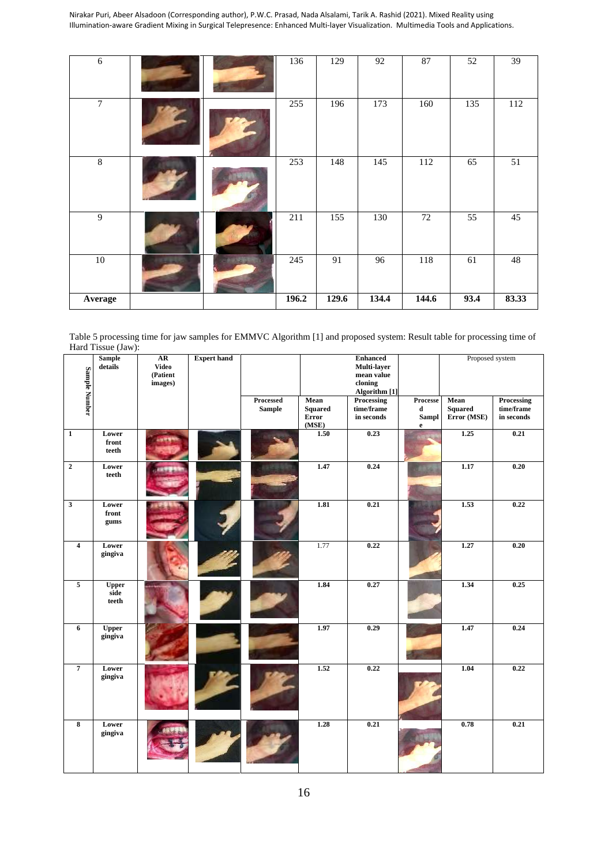| $\sqrt{6}$ |                | 136   | 129   | 92    | 87    | 52   | 39     |
|------------|----------------|-------|-------|-------|-------|------|--------|
| $\tau$     |                | 255   | 196   | 173   | 160   | 135  | 112    |
| $\,8\,$    |                | 253   | 148   | 145   | 112   | 65   | 51     |
| 9          |                | 211   | 155   | 130   | 72    | 55   | 45     |
| $10\,$     | <b>ASSISTE</b> | 245   | 91    | 96    | 118   | 61   | $48\,$ |
| Average    |                | 196.2 | 129.6 | 134.4 | 144.6 | 93.4 | 83.33  |

Table 5 processing time for jaw samples for EMMVC Algorithm [1] and proposed system: Result table for processing time of Hard Tissue (Jaw):

|                         | <b>Sample</b><br>details      | AR<br>Video<br>(Patient | <b>Expert hand</b> |                            |                                          | <b>Enhanced</b><br>Multi-layer<br>mean value  |                                                  | Proposed system                       |                                        |
|-------------------------|-------------------------------|-------------------------|--------------------|----------------------------|------------------------------------------|-----------------------------------------------|--------------------------------------------------|---------------------------------------|----------------------------------------|
|                         |                               | images)                 |                    |                            |                                          | cloning<br>Algorithm [1]                      |                                                  |                                       |                                        |
| Sample Number           |                               |                         |                    | Processed<br><b>Sample</b> | Mean<br><b>Squared</b><br>Error<br>(MSE) | <b>Processing</b><br>time/frame<br>in seconds | Processe<br>$\mathbf d$<br>Sampl<br>$\mathbf{e}$ | Mean<br><b>Squared</b><br>Error (MSE) | Processing<br>time/frame<br>in seconds |
| $\mathbf 1$             | Lower<br>front<br>teeth       |                         |                    |                            | 1.50                                     | 0.23                                          |                                                  | 1.25                                  | 0.21                                   |
| $\mathbf 2$             | Lower<br>teeth                |                         |                    |                            | 1.47                                     | 0.24                                          |                                                  | 1.17                                  | 0.20                                   |
| $\mathbf{3}$            | Lower<br>front<br>gums        |                         |                    |                            | 1.81                                     | 0.21                                          |                                                  | 1.53                                  | 0.22                                   |
| $\overline{4}$          | Lower<br>gingiva              |                         |                    |                            | 1.77                                     | 0.22                                          |                                                  | 1.27                                  | 0.20                                   |
| $\overline{5}$          | <b>Upper</b><br>side<br>teeth |                         |                    |                            | 1.84                                     | 0.27                                          |                                                  | 1.34                                  | 0.25                                   |
| 6                       | <b>Upper</b><br>gingiva       |                         |                    |                            | 1.97                                     | 0.29                                          |                                                  | 1.47                                  | 0.24                                   |
| $\overline{7}$          | Lower<br>gingiva              |                         |                    |                            | 1.52                                     | 0.22                                          |                                                  | 1.04                                  | 0.22                                   |
| $\overline{\mathbf{8}}$ | Lower<br>gingiva              |                         |                    |                            | 1.28                                     | 0.21                                          |                                                  | 0.78                                  | 0.21                                   |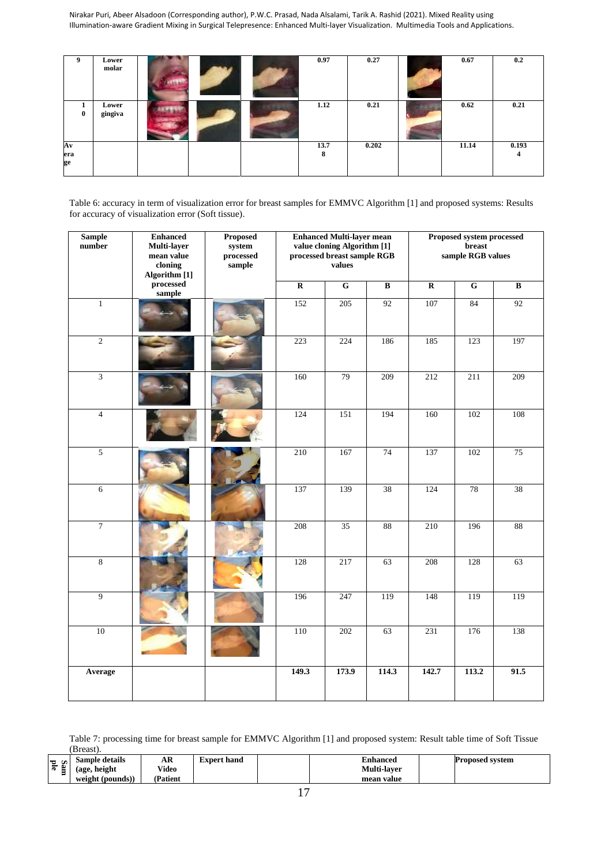| 9                          | Lower<br>molar   |  | 0.97      | 0.27  | 0.67  | 0.2        |
|----------------------------|------------------|--|-----------|-------|-------|------------|
| $\mathbf{0}$               | Lower<br>gingiva |  | 1.12      | 0.21  | 0.62  | 0.21       |
| $A\mathbf{v}$<br>era<br>ge |                  |  | 13.7<br>8 | 0.202 | 11.14 | 0.193<br>4 |

Table 6: accuracy in term of visualization error for breast samples for EMMVC Algorithm [1] and proposed systems: Results for accuracy of visualization error (Soft tissue).

| <b>Sample</b><br>number | <b>Enhanced</b><br>Multi-layer<br>mean value<br>cloning<br>Algorithm [1] | Proposed<br>system<br>processed<br>sample |                         | <b>Enhanced Multi-layer mean</b><br>value cloning Algorithm [1]<br>processed breast sample RGB<br>values |                         |                         | Proposed system processed<br>breast<br>sample RGB values |                          |
|-------------------------|--------------------------------------------------------------------------|-------------------------------------------|-------------------------|----------------------------------------------------------------------------------------------------------|-------------------------|-------------------------|----------------------------------------------------------|--------------------------|
|                         | processed<br>sample                                                      |                                           | $\overline{\mathbf{R}}$ | $\overline{G}$                                                                                           | $\overline{\mathbf{B}}$ | $\overline{\mathbf{R}}$ | $\overline{G}$                                           | $\overline{\mathbf{B}}$  |
| $\mathbf{1}$            |                                                                          |                                           | 152                     | 205                                                                                                      | 92                      | 107                     | 84                                                       | 92                       |
| $\overline{2}$          |                                                                          |                                           | 223                     | 224                                                                                                      | 186                     | 185                     | 123                                                      | 197                      |
| $\overline{3}$          |                                                                          |                                           | 160                     | 79                                                                                                       | 209                     | 212                     | 211                                                      | 209                      |
| $\overline{4}$          |                                                                          |                                           | 124                     | 151                                                                                                      | 194                     | 160                     | 102                                                      | 108                      |
| $\overline{5}$          |                                                                          |                                           | 210                     | 167                                                                                                      | 74                      | 137                     | 102                                                      | 75                       |
| $6\,$                   |                                                                          |                                           | 137                     | 139                                                                                                      | 38                      | 124                     | 78                                                       | 38                       |
| $\tau$                  |                                                                          |                                           | 208                     | 35                                                                                                       | 88                      | 210                     | 196                                                      | $\overline{\textbf{88}}$ |
| $\overline{8}$          |                                                                          |                                           | 128                     | 217                                                                                                      | 63                      | 208                     | 128                                                      | 63                       |
| $\overline{9}$          |                                                                          |                                           | 196                     | 247                                                                                                      | 119                     | 148                     | 119                                                      | 119                      |
| 10                      |                                                                          |                                           | 110                     | 202                                                                                                      | 63                      | 231                     | 176                                                      | 138                      |
| Average                 |                                                                          |                                           | 149.3                   | 173.9                                                                                                    | 114.3                   | 142.7                   | 113.2                                                    | 91.5                     |

Table 7: processing time for breast sample for EMMVC Algorithm [1] and proposed system: Result table time of Soft Tissue (Breast).

| <b>TA</b>                  | $\cdot$<br>Sample details | AR      | E <b>xpert hand</b> | <b>Enhanced</b>    | <b>Proposed system</b> |
|----------------------------|---------------------------|---------|---------------------|--------------------|------------------------|
| $\sim$<br>-<br>=<br>œ<br>- | height<br>(age            | Video   |                     | <b>Multi-laver</b> |                        |
|                            | $($ pounds $)$<br>weight  | Patient |                     | mean value         |                        |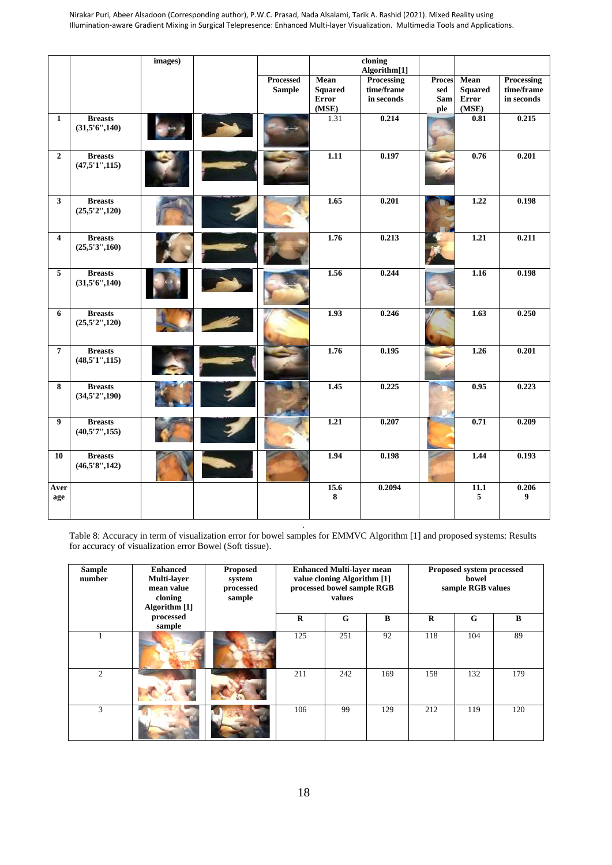|                         |                                  | images) |               |                | cloning      |               |                |            |
|-------------------------|----------------------------------|---------|---------------|----------------|--------------|---------------|----------------|------------|
|                         |                                  |         |               |                | Algorithm[1] |               |                |            |
|                         |                                  |         | Processed     | <b>Mean</b>    | Processing   | <b>Proces</b> | Mean           | Processing |
|                         |                                  |         | <b>Sample</b> | <b>Squared</b> | time/frame   | sed           | <b>Squared</b> | time/frame |
|                         |                                  |         |               | Error          | in seconds   | Sam           | <b>Error</b>   | in seconds |
|                         |                                  |         |               | (MSE)          |              | ple           | (MSE)          |            |
| $\mathbf{1}$            | <b>Breasts</b><br>(31,5'6'',140) |         |               | 1.31           | 0.214        |               | 0.81           | 0.215      |
| $\overline{2}$          | <b>Breasts</b><br>(47,5'1'',115) |         |               | 1.11           | 0.197        |               | 0.76           | 0.201      |
| $\mathbf{3}$            | <b>Breasts</b><br>(25,5'2'',120) |         |               | 1.65           | 0.201        |               | 1.22           | 0.198      |
| $\overline{\mathbf{4}}$ | <b>Breasts</b><br>(25,5'3'',160) |         |               | 1.76           | 0.213        |               | 1.21           | 0.211      |
| $\overline{\mathbf{5}}$ | <b>Breasts</b><br>(31,5'6'',140) |         |               | 1.56           | 0.244        |               | 1.16           | 0.198      |
| 6                       | <b>Breasts</b><br>(25,5'2'',120) |         |               | 1.93           | 0.246        |               | 1.63           | 0.250      |
| $\overline{7}$          | <b>Breasts</b><br>(48,5'1'',115) |         |               | 1.76           | 0.195        |               | 1.26           | 0.201      |
| 8                       | <b>Breasts</b><br>(34,5'2'',190) |         |               | 1.45           | 0.225        |               | 0.95           | 0.223      |
| 9                       | <b>Breasts</b><br>(40,5'7'';155) |         |               | 1.21           | 0.207        |               | 0.71           | 0.209      |
| 10                      | <b>Breasts</b><br>(46,5'8'',142) |         |               | 1.94           | 0.198        |               | 1.44           | 0.193      |
| Aver<br>age             |                                  |         |               | 15.6<br>8      | 0.2094       |               | 11.1<br>5      | 0.206<br>9 |

*.* Table 8: Accuracy in term of visualization error for bowel samples for EMMVC Algorithm [1] and proposed systems: Results for accuracy of visualization error Bowel (Soft tissue).

| <b>Sample</b><br>number | <b>Enhanced</b><br><b>Multi-layer</b><br>mean value<br>cloning<br>Algorithm [1] | <b>Proposed</b><br>system<br>processed<br>sample | <b>Enhanced Multi-layer mean</b><br>value cloning Algorithm [1]<br>processed bowel sample RGB<br>values |     | Proposed system processed<br>bowel<br>sample RGB values |          |     |     |
|-------------------------|---------------------------------------------------------------------------------|--------------------------------------------------|---------------------------------------------------------------------------------------------------------|-----|---------------------------------------------------------|----------|-----|-----|
|                         | processed<br>sample                                                             |                                                  | R                                                                                                       | G   | B                                                       | $\bf{R}$ | G   | B   |
|                         |                                                                                 |                                                  | 125                                                                                                     | 251 | 92                                                      | 118      | 104 | 89  |
| $\mathfrak{D}_{1}$      |                                                                                 |                                                  | 211                                                                                                     | 242 | 169                                                     | 158      | 132 | 179 |
| 3                       |                                                                                 |                                                  | 106                                                                                                     | 99  | 129                                                     | 212      | 119 | 120 |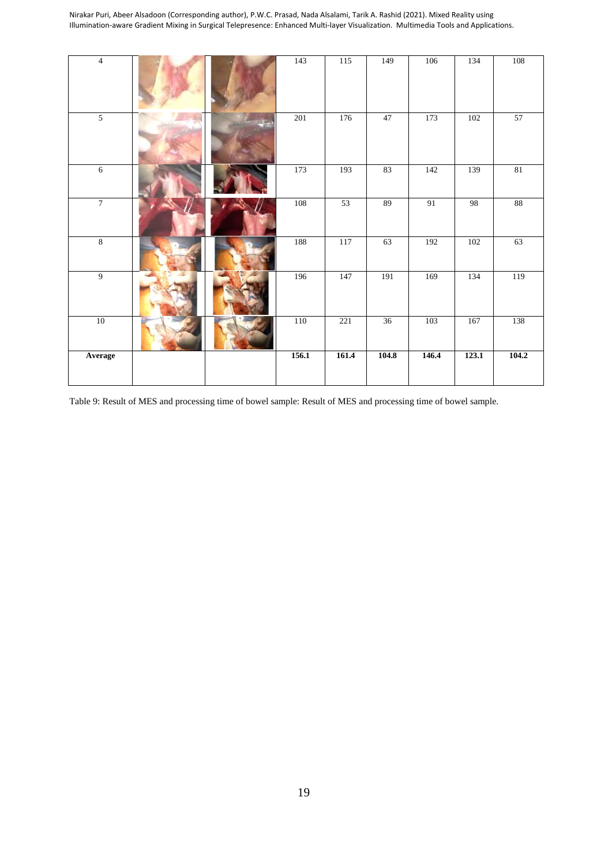| $\overline{4}$ |  | 143     | $115$ | 149             | 106   | 134   | 108    |
|----------------|--|---------|-------|-----------------|-------|-------|--------|
| $\overline{5}$ |  | 201     | 176   | 47              | 173   | 102   | 57     |
| $\overline{6}$ |  | 173     | 193   | 83              | 142   | 139   | 81     |
| $\overline{7}$ |  | $108\,$ | 53    | 89              | 91    | 98    | $88\,$ |
| $\,8\,$        |  | 188     | 117   | 63              | 192   | 102   | 63     |
| $\overline{9}$ |  | 196     | 147   | 191             | 169   | 134   | 119    |
| $10\,$         |  | 110     | 221   | $\overline{36}$ | 103   | 167   | 138    |
| Average        |  | 156.1   | 161.4 | 104.8           | 146.4 | 123.1 | 104.2  |

Table 9: Result of MES and processing time of bowel sample: Result of MES and processing time of bowel sample.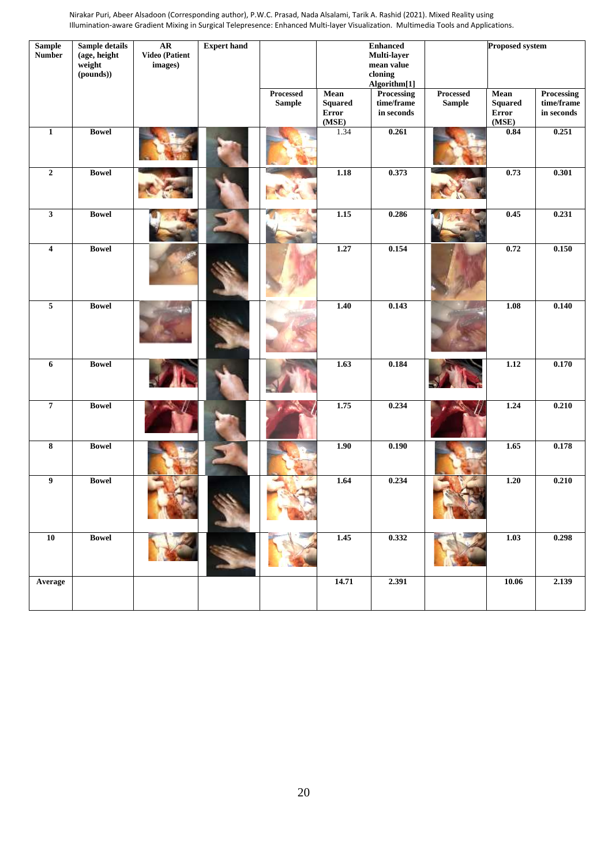| <b>Sample</b><br><b>Number</b> | Sample details<br>(age, height<br>weight<br>(pounds)) | AR<br>Video (Patient<br>images) | <b>Expert hand</b> |                            |                                                 | <b>Enhanced</b><br>Multi-layer<br>mean value<br>cloning<br>Algorithm[1] |                            | <b>Proposed system</b>                   |                                               |
|--------------------------------|-------------------------------------------------------|---------------------------------|--------------------|----------------------------|-------------------------------------------------|-------------------------------------------------------------------------|----------------------------|------------------------------------------|-----------------------------------------------|
|                                |                                                       |                                 |                    | Processed<br><b>Sample</b> | Mean<br><b>Squared</b><br><b>Error</b><br>(MSE) | <b>Processing</b><br>time/frame<br>in seconds                           | Processed<br><b>Sample</b> | Mean<br><b>Squared</b><br>Error<br>(MSE) | <b>Processing</b><br>time/frame<br>in seconds |
| $\mathbf 1$                    | <b>Bowel</b>                                          |                                 |                    |                            | 1.34                                            | 0.261                                                                   |                            | 0.84                                     | 0.251                                         |
| $\boldsymbol{2}$               | <b>Bowel</b>                                          |                                 |                    |                            | 1.18                                            | 0.373                                                                   |                            | 0.73                                     | 0.301                                         |
| $\mathbf{3}$                   | <b>Bowel</b>                                          |                                 |                    |                            | 1.15                                            | 0.286                                                                   |                            | 0.45                                     | 0.231                                         |
| $\overline{\mathbf{4}}$        | <b>Bowel</b>                                          |                                 |                    |                            | 1.27                                            | 0.154                                                                   |                            | 0.72                                     | 0.150                                         |
| $\overline{5}$                 | <b>Bowel</b>                                          |                                 |                    |                            | $\frac{1.40}{5.5}$                              | 0.143                                                                   |                            | 1.08                                     | 0.140                                         |
| $\boldsymbol{6}$               | <b>Bowel</b>                                          |                                 |                    |                            | 1.63                                            | 0.184                                                                   |                            | 1.12                                     | 0.170                                         |
| $\overline{7}$                 | <b>Bowel</b>                                          |                                 |                    |                            | 1.75                                            | 0.234                                                                   |                            | 1.24                                     | 0.210                                         |
| $\bf 8$                        | <b>Bowel</b>                                          |                                 |                    |                            | 1.90                                            | 0.190                                                                   |                            | 1.65                                     | 0.178                                         |
| $\boldsymbol{9}$               | <b>Bowel</b>                                          |                                 |                    |                            | 1.64                                            | 0.234                                                                   |                            | 1.20                                     | 0.210                                         |
| $\overline{10}$                | <b>Bowel</b>                                          |                                 |                    |                            | $\overline{1.45}$                               | 0.332                                                                   |                            | 1.03                                     | 0.298                                         |
| Average                        |                                                       |                                 |                    |                            | 14.71                                           | 2.391                                                                   |                            | 10.06                                    | 2.139                                         |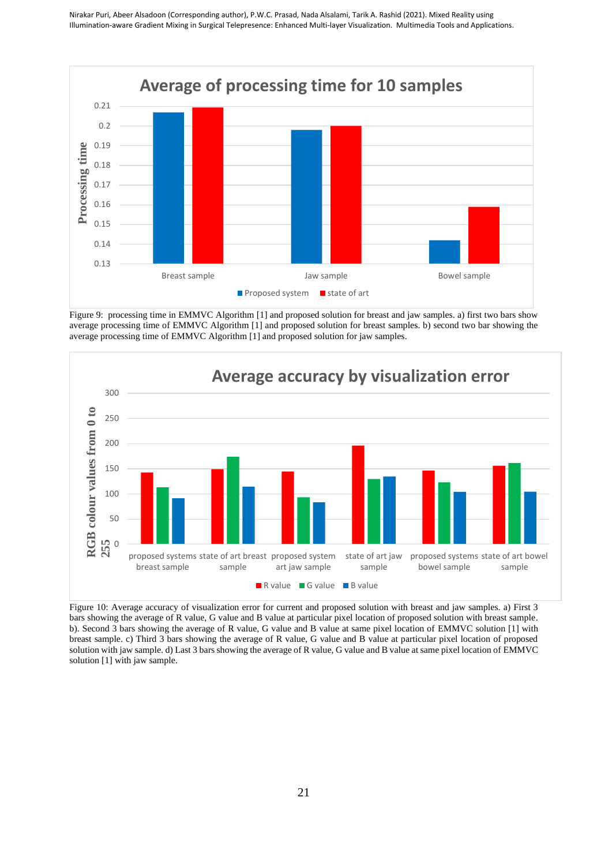

Figure 9: processing time in EMMVC Algorithm [1] and proposed solution for breast and jaw samples. a) first two bars show average processing time of EMMVC Algorithm [1] and proposed solution for breast samples. b) second two bar showing the average processing time of EMMVC Algorithm [1] and proposed solution for jaw samples.



Figure 10: Average accuracy of visualization error for current and proposed solution with breast and jaw samples. a) First 3 bars showing the average of R value, G value and B value at particular pixel location of proposed solution with breast sample. b). Second 3 bars showing the average of R value, G value and B value at same pixel location of EMMVC solution [1] with breast sample. c) Third 3 bars showing the average of R value, G value and B value at particular pixel location of proposed solution with jaw sample. d) Last 3 bars showing the average of R value, G value and B value at same pixel location of EMMVC solution [1] with jaw sample.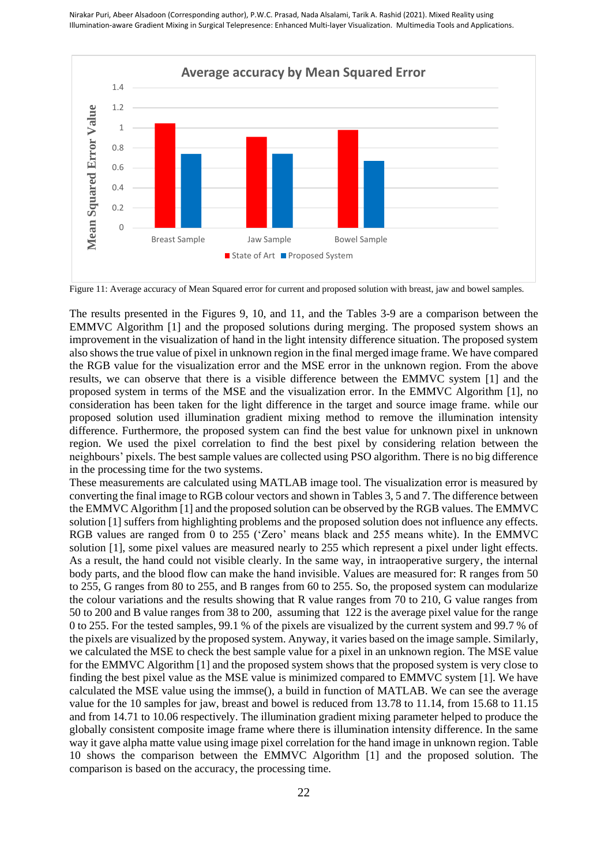

Figure 11: Average accuracy of Mean Squared error for current and proposed solution with breast, jaw and bowel samples.

The results presented in the Figures 9, 10, and 11, and the Tables 3-9 are a comparison between the EMMVC Algorithm [1] and the proposed solutions during merging. The proposed system shows an improvement in the visualization of hand in the light intensity difference situation. The proposed system also shows the true value of pixel in unknown region in the final merged image frame. We have compared the RGB value for the visualization error and the MSE error in the unknown region. From the above results, we can observe that there is a visible difference between the EMMVC system [1] and the proposed system in terms of the MSE and the visualization error. In the EMMVC Algorithm [1], no consideration has been taken for the light difference in the target and source image frame. while our proposed solution used illumination gradient mixing method to remove the illumination intensity difference. Furthermore, the proposed system can find the best value for unknown pixel in unknown region. We used the pixel correlation to find the best pixel by considering relation between the neighbours' pixels. The best sample values are collected using PSO algorithm. There is no big difference in the processing time for the two systems.

These measurements are calculated using MATLAB image tool. The visualization error is measured by converting the final image to RGB colour vectors and shown in Tables 3, 5 and 7. The difference between the EMMVC Algorithm [1] and the proposed solution can be observed by the RGB values. The EMMVC solution [1] suffers from highlighting problems and the proposed solution does not influence any effects. RGB values are ranged from 0 to 255 ('Zero' means black and 255 means white). In the EMMVC solution [1], some pixel values are measured nearly to 255 which represent a pixel under light effects. As a result, the hand could not visible clearly. In the same way, in intraoperative surgery, the internal body parts, and the blood flow can make the hand invisible. Values are measured for: R ranges from 50 to 255, G ranges from 80 to 255, and B ranges from 60 to 255. So, the proposed system can modularize the colour variations and the results showing that R value ranges from 70 to 210, G value ranges from 50 to 200 and B value ranges from 38 to 200, assuming that 122 is the average pixel value for the range 0 to 255. For the tested samples, 99.1 % of the pixels are visualized by the current system and 99.7 % of the pixels are visualized by the proposed system. Anyway, it varies based on the image sample. Similarly, we calculated the MSE to check the best sample value for a pixel in an unknown region. The MSE value for the EMMVC Algorithm [1] and the proposed system shows that the proposed system is very close to finding the best pixel value as the MSE value is minimized compared to EMMVC system [1]. We have calculated the MSE value using the immse(), a build in function of MATLAB. We can see the average value for the 10 samples for jaw, breast and bowel is reduced from 13.78 to 11.14, from 15.68 to 11.15 and from 14.71 to 10.06 respectively. The illumination gradient mixing parameter helped to produce the globally consistent composite image frame where there is illumination intensity difference. In the same way it gave alpha matte value using image pixel correlation for the hand image in unknown region. Table 10 shows the comparison between the EMMVC Algorithm [1] and the proposed solution. The comparison is based on the accuracy, the processing time.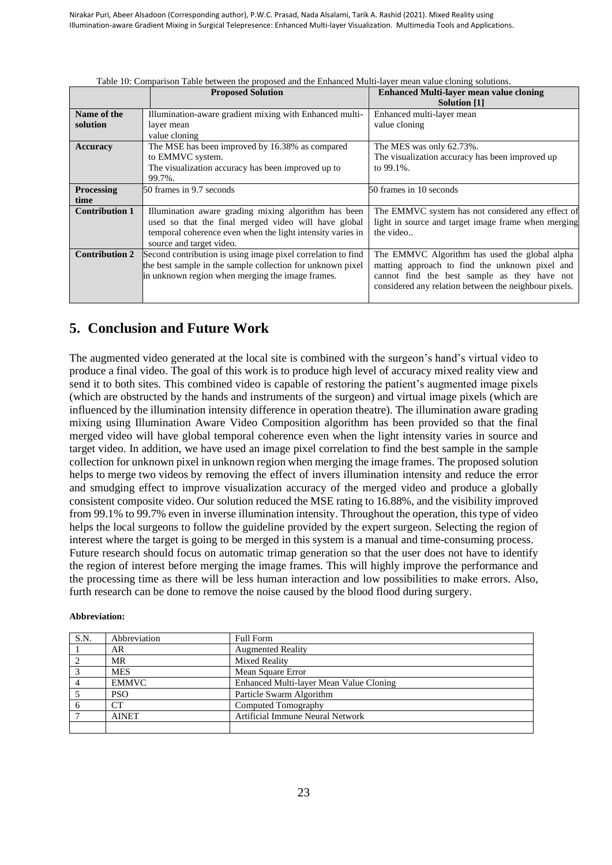|                       | <b>Proposed Solution</b>                                     | <b>Enhanced Multi-layer mean value cloning</b><br>Solution [1] |
|-----------------------|--------------------------------------------------------------|----------------------------------------------------------------|
| Name of the           | Illumination-aware gradient mixing with Enhanced multi-      | Enhanced multi-layer mean                                      |
| solution              | layer mean                                                   | value cloning                                                  |
|                       | value cloning                                                |                                                                |
| Accuracy              | The MSE has been improved by 16.38% as compared              | The MES was only 62.73%.                                       |
|                       | to EMMVC system.                                             | The visualization accuracy has been improved up                |
|                       | The visualization accuracy has been improved up to           | to 99.1%.                                                      |
|                       | 99.7%.                                                       |                                                                |
| <b>Processing</b>     | 50 frames in 9.7 seconds                                     | 50 frames in 10 seconds                                        |
| time                  |                                                              |                                                                |
| <b>Contribution 1</b> | Illumination aware grading mixing algorithm has been         | The EMMVC system has not considered any effect of              |
|                       | used so that the final merged video will have global         | light in source and target image frame when merging            |
|                       | temporal coherence even when the light intensity varies in   | the video                                                      |
|                       | source and target video.                                     |                                                                |
| <b>Contribution 2</b> | Second contribution is using image pixel correlation to find | The EMMVC Algorithm has used the global alpha                  |
|                       | the best sample in the sample collection for unknown pixel   | matting approach to find the unknown pixel and                 |
|                       | in unknown region when merging the image frames.             | cannot find the best sample as they have not                   |
|                       |                                                              | considered any relation between the neighbour pixels.          |
|                       |                                                              |                                                                |

Table 10: Comparison Table between the proposed and the Enhanced Multi-layer mean value cloning solutions.

# **5. Conclusion and Future Work**

The augmented video generated at the local site is combined with the surgeon's hand's virtual video to produce a final video. The goal of this work is to produce high level of accuracy mixed reality view and send it to both sites. This combined video is capable of restoring the patient's augmented image pixels (which are obstructed by the hands and instruments of the surgeon) and virtual image pixels (which are influenced by the illumination intensity difference in operation theatre). The illumination aware grading mixing using Illumination Aware Video Composition algorithm has been provided so that the final merged video will have global temporal coherence even when the light intensity varies in source and target video. In addition, we have used an image pixel correlation to find the best sample in the sample collection for unknown pixel in unknown region when merging the image frames. The proposed solution helps to merge two videos by removing the effect of invers illumination intensity and reduce the error and smudging effect to improve visualization accuracy of the merged video and produce a globally consistent composite video. Our solution reduced the MSE rating to 16.88%, and the visibility improved from 99.1% to 99.7% even in inverse illumination intensity. Throughout the operation, this type of video helps the local surgeons to follow the guideline provided by the expert surgeon. Selecting the region of interest where the target is going to be merged in this system is a manual and time-consuming process. Future research should focus on automatic trimap generation so that the user does not have to identify the region of interest before merging the image frames. This will highly improve the performance and the processing time as there will be less human interaction and low possibilities to make errors. Also, furth research can be done to remove the noise caused by the blood flood during surgery.

| Abbreviation: |              |                                         |
|---------------|--------------|-----------------------------------------|
| S.N.          | Abbreviation | Full Form                               |
|               | AR           | <b>Augmented Reality</b>                |
| 2             | MR           | <b>Mixed Reality</b>                    |
| 3             | <b>MES</b>   | Mean Square Error                       |
| 4             | <b>EMMVC</b> | Enhanced Multi-layer Mean Value Cloning |
| 5             | <b>PSO</b>   | Particle Swarm Algorithm                |
| 6             | CТ           | Computed Tomography                     |
|               | <b>AINET</b> | Artificial Immune Neural Network        |
|               |              |                                         |